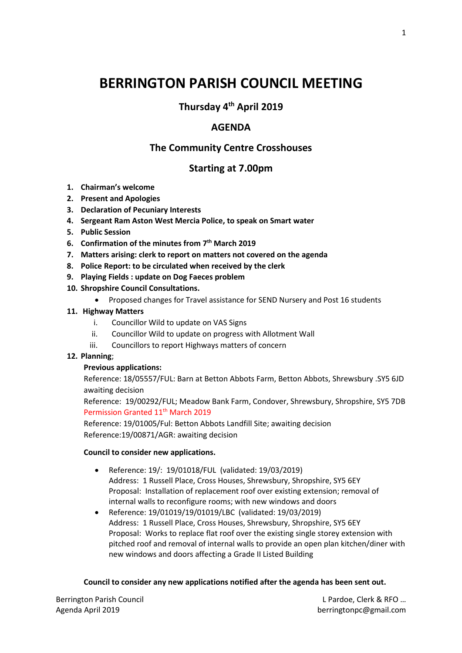# **BERRINGTON PARISH COUNCIL MEETING**

**Thursday 4 th April 2019**

## **AGENDA**

# **The Community Centre Crosshouses**

## **Starting at 7.00pm**

- **1. Chairman's welcome**
- **2. Present and Apologies**
- **3. Declaration of Pecuniary Interests**
- **4. Sergeant Ram Aston West Mercia Police, to speak on Smart water**
- **5. Public Session**
- **6. Confirmation of the minutes from 7 th March 2019**
- **7. Matters arising: clerk to report on matters not covered on the agenda**
- **8. Police Report: to be circulated when received by the clerk**
- **9. Playing Fields : update on Dog Faeces problem**
- **10. Shropshire Council Consultations.**
	- Proposed changes for Travel assistance for SEND Nursery and Post 16 students

#### **11. Highway Matters**

- i. Councillor Wild to update on VAS Signs
- ii. Councillor Wild to update on progress with Allotment Wall
- iii. Councillors to report Highways matters of concern

#### **12. Planning**;

#### **Previous applications:**

Reference: 18/05557/FUL: Barn at Betton Abbots Farm, Betton Abbots, Shrewsbury .SY5 6JD awaiting decision

Reference: 19/00292/FUL; Meadow Bank Farm, Condover, Shrewsbury, Shropshire, SY5 7DB Permission Granted 11<sup>th</sup> March 2019

Reference: 19/01005/Ful: Betton Abbots Landfill Site; awaiting decision Reference:19/00871/AGR: awaiting decision

#### **Council to consider new applications.**

- Reference: 19/: 19/01018/FUL (validated: 19/03/2019) Address: 1 Russell Place, Cross Houses, Shrewsbury, Shropshire, SY5 6EY Proposal: Installation of replacement roof over existing extension; removal of internal walls to reconfigure rooms; with new windows and doors
- Reference: 19/01019/19/01019/LBC (validated: 19/03/2019) Address: 1 Russell Place, Cross Houses, Shrewsbury, Shropshire, SY5 6EY Proposal: Works to replace flat roof over the existing single storey extension with pitched roof and removal of internal walls to provide an open plan kitchen/diner with new windows and doors affecting a Grade II Listed Building

#### **Council to consider any new applications notified after the agenda has been sent out.**

Berrington Parish Council **Example 20 and Council Leapers** 20 and 20 and 20 and 20 and 20 and 20 and 20 and 20 and 20 and 20 and 20 and 20 and 20 and 20 and 20 and 20 and 20 and 20 and 20 and 20 and 20 and 20 and 20 and 20 Agenda April 2019 **berringtonpc@gmail.com**